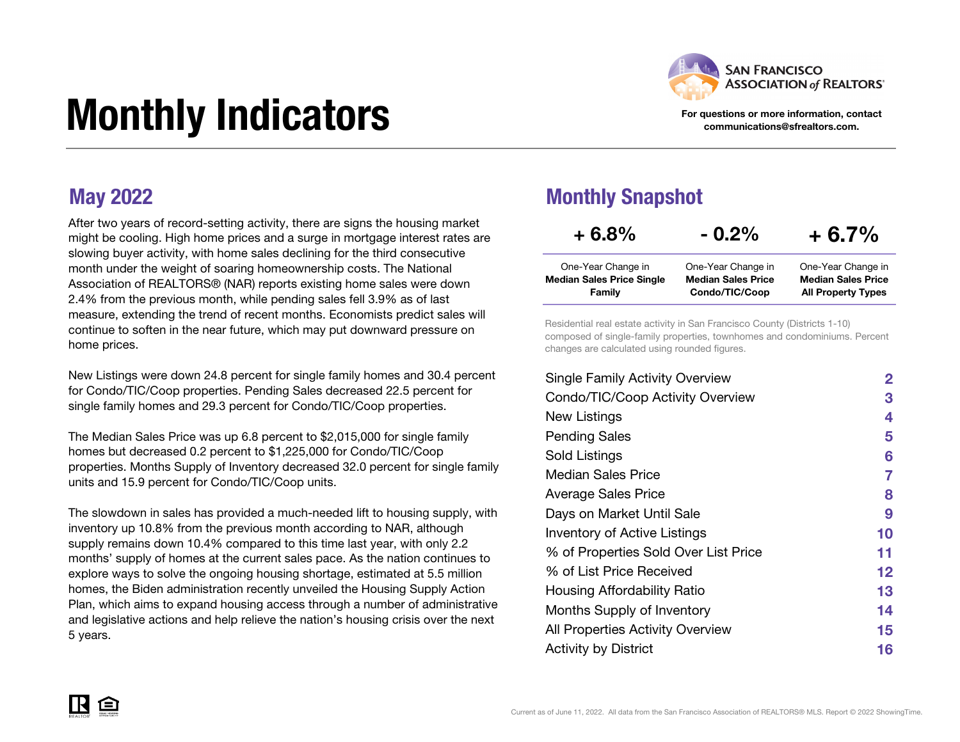

#### For questions or more information, contact communications@sfrealtors.com.

# Monthly Indicators

After two years of record-setting activity, there are signs the housing market might be cooling. High home prices and a surge in mortgage interest rates are slowing buyer activity, with home sales declining for the third consecutive month under the weight of soaring homeownership costs. The National Association of REALTORS® (NAR) reports existing home sales were down 2.4% from the previous month, while pending sales fell 3.9% as of last measure, extending the trend of recent months. Economists predict sales will continue to soften in the near future, which may put downward pressure on home prices.

New Listings were down 24.8 percent for single family homes and 30.4 percent for Condo/TIC/Coop properties. Pending Sales decreased 22.5 percent for single family homes and 29.3 percent for Condo/TIC/Coop properties.

The Median Sales Price was up 6.8 percent to \$2,015,000 for single family homes but decreased 0.2 percent to \$1,225,000 for Condo/TIC/Coop properties. Months Supply of Inventory decreased 32.0 percent for single family units and 15.9 percent for Condo/TIC/Coop units.

The slowdown in sales has provided a much-needed lift to housing supply, with inventory up 10.8% from the previous month according to NAR, although supply remains down 10.4% compared to this time last year, with only 2.2 months' supply of homes at the current sales pace. As the nation continues to explore ways to solve the ongoing housing shortage, estimated at 5.5 million homes, the Biden administration recently unveiled the Housing Supply Action Plan, which aims to expand housing access through a number of administrative and legislative actions and help relieve the nation's housing crisis over the next 5 years.

#### May 2022 Monthly Snapshot

| $+6.8%$                                                | $-0.2\%$                                        | $+6.7%$                                         |
|--------------------------------------------------------|-------------------------------------------------|-------------------------------------------------|
| One-Year Change in<br><b>Median Sales Price Single</b> | One-Year Change in<br><b>Median Sales Price</b> | One-Year Change in<br><b>Median Sales Price</b> |
| Family                                                 | Condo/TIC/Coop                                  | <b>All Property Types</b>                       |

Residential real estate activity in San Francisco County (Districts 1-10) composed of single-family properties, townhomes and condominiums. Percent changes are calculated using rounded figures.

| <b>Single Family Activity Overview</b> | 2  |
|----------------------------------------|----|
| Condo/TIC/Coop Activity Overview       | 3  |
| New Listings                           | 4  |
| <b>Pending Sales</b>                   | 5  |
| Sold Listings                          | 6  |
| Median Sales Price                     | 7  |
| <b>Average Sales Price</b>             | 8  |
| Days on Market Until Sale              | 9  |
| Inventory of Active Listings           | 10 |
| % of Properties Sold Over List Price   | 11 |
| % of List Price Received               | 12 |
| Housing Affordability Ratio            | 13 |
| Months Supply of Inventory             | 14 |
| All Properties Activity Overview       | 15 |
| <b>Activity by District</b>            | 16 |

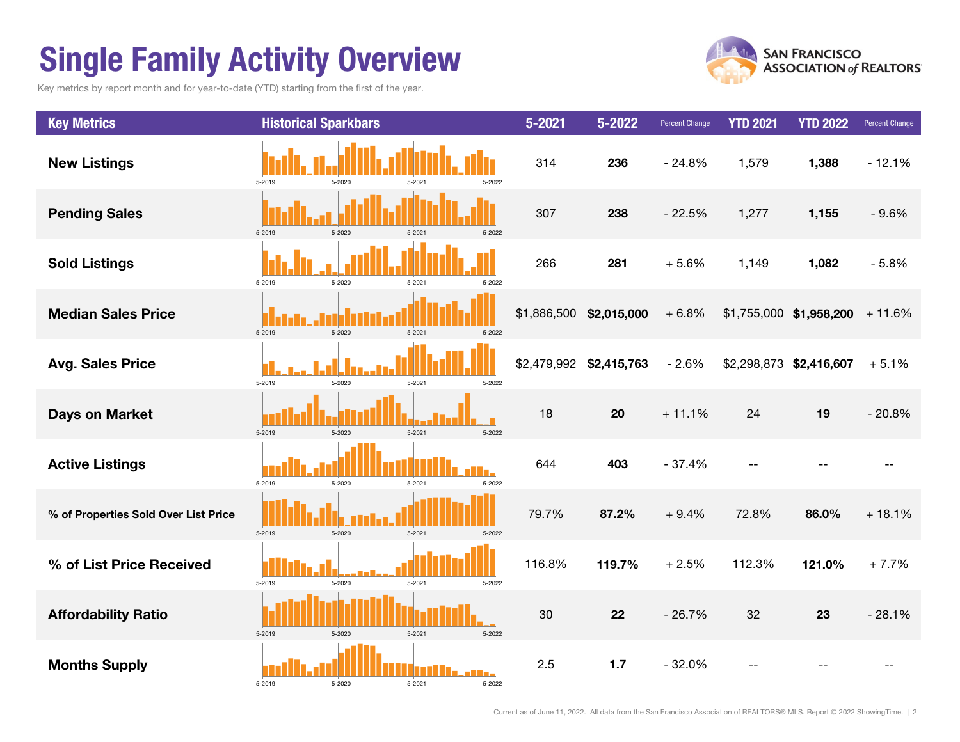# Single Family Activity Overview

Key metrics by report month and for year-to-date (YTD) starting from the first of the year.



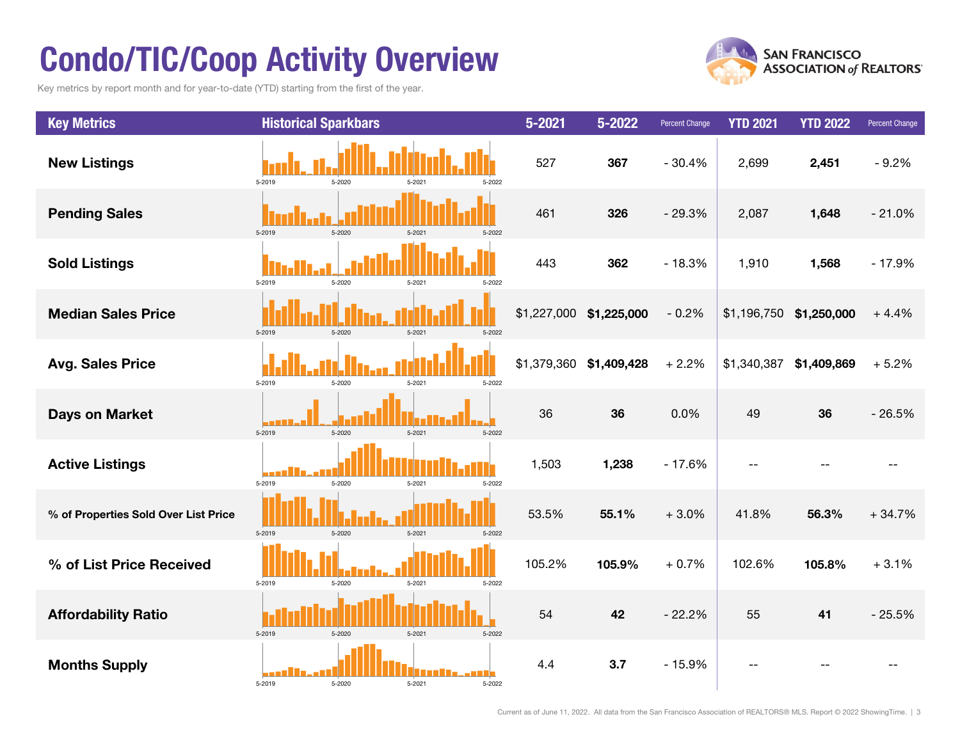# Condo/TIC/Coop Activity Overview

Key metrics by report month and for year-to-date (YTD) starting from the first of the year.



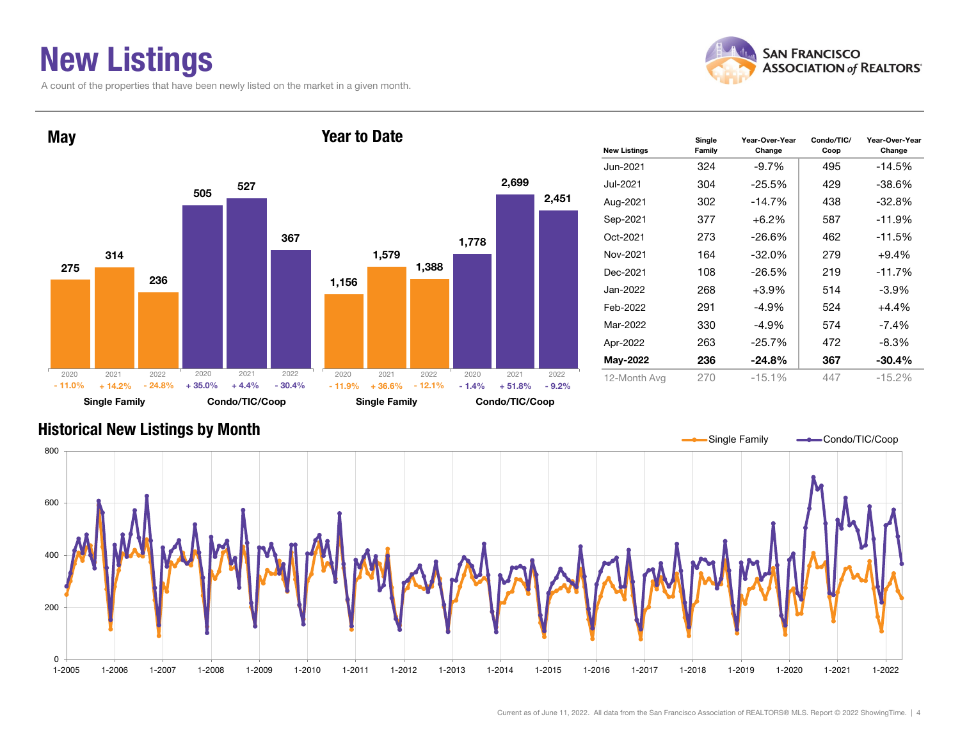### New Listings

A count of the properties that have been newly listed on the market in a given month.





| <b>New Listings</b> | Single<br>Family | Year-Over-Year<br>Change | Condo/TIC/<br>Coop | Year-Over-Year<br>Change |
|---------------------|------------------|--------------------------|--------------------|--------------------------|
| Jun-2021            | 324              | $-9.7\%$                 | 495                | $-14.5%$                 |
| Jul-2021            | 304              | $-25.5%$                 | 429                | $-38.6%$                 |
| Aug-2021            | 302              | $-14.7%$                 | 438                | $-32.8%$                 |
| Sep-2021            | 377              | +6.2%                    | 587                | $-11.9%$                 |
| Oct-2021            | 273.             | $-26.6\%$                | 462                | $-11.5%$                 |
| Nov-2021            | 164              | $-32.0%$                 | 279                | $+9.4%$                  |
| Dec-2021            | 108              | $-26.5%$                 | 219                | $-11.7%$                 |
| Jan-2022.           | 268              | +3.9%                    | 514                | $-3.9\%$                 |
| Feb-2022            | 291              | $-4.9\%$                 | 524                | $+4.4%$                  |
| Mar-2022            | 330              | $-4.9\%$                 | 574                | $-7.4\%$                 |
| Apr-2022            | 263              | $-25.7%$                 | 472                | $-8.3\%$                 |
| May-2022            | 236              | $-24.8%$                 | 367                | $-30.4%$                 |
| 12-Month Avg        | 270              | $-15.1%$                 | 447                | $-15.2%$                 |

#### Historical New Listings by Month

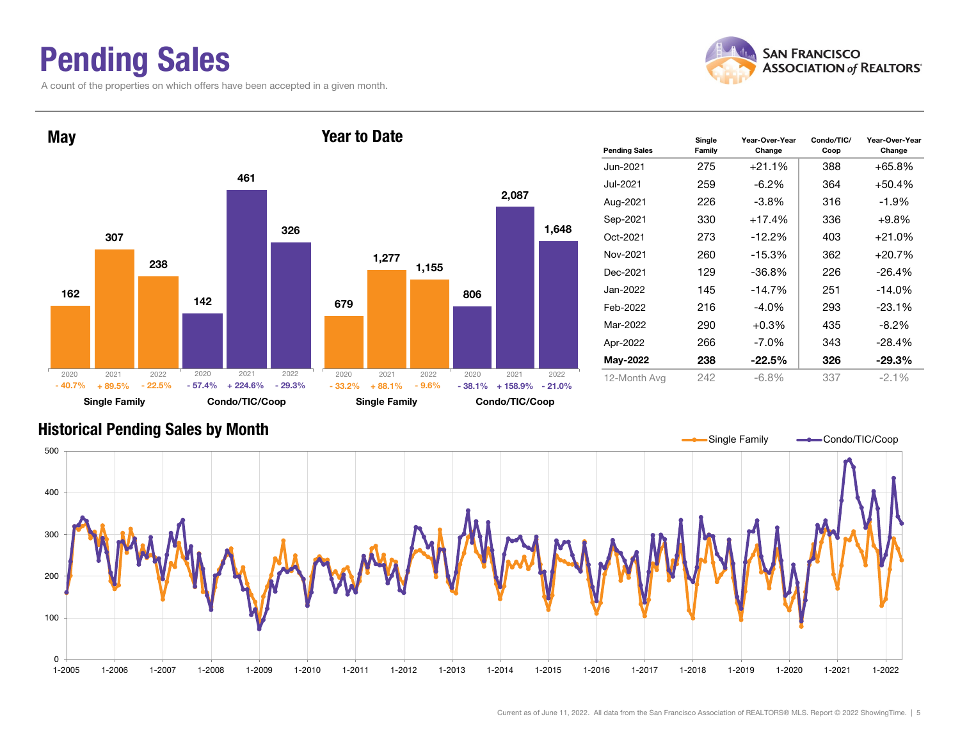### Pending Sales

A count of the properties on which offers have been accepted in a given month.





#### Historical Pending Sales by Month

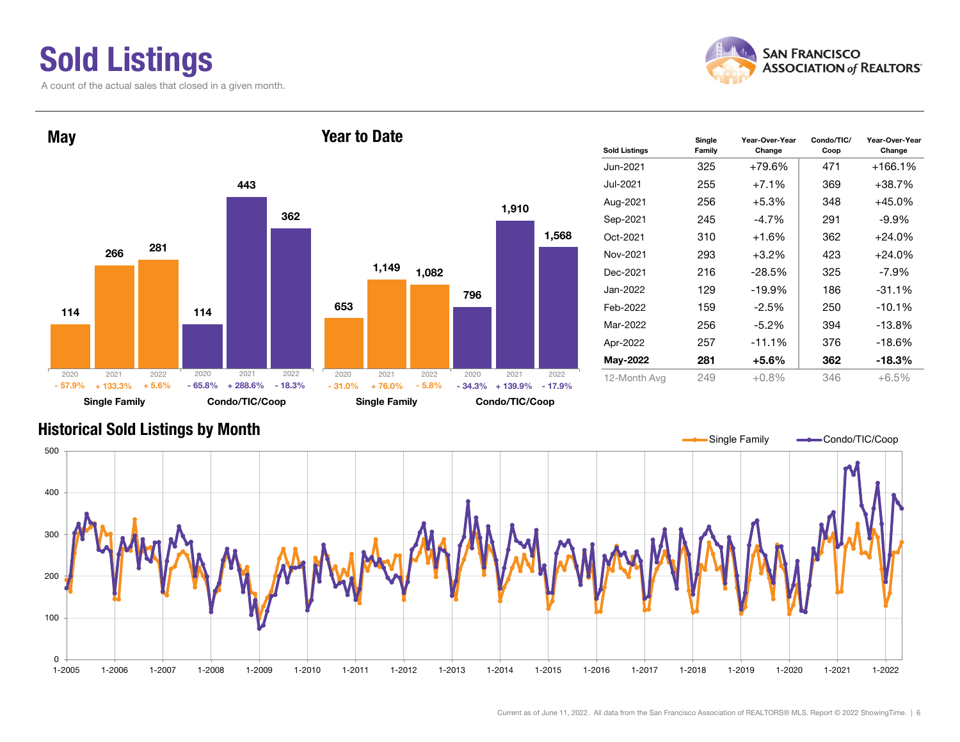# Sold Listings

A count of the actual sales that closed in a given month.





| <b>Sold Listings</b> | Single<br>Family | Year-Over-Year<br>Change | Condo/TIC/<br>Coop | Year-Over-Year<br>Change |
|----------------------|------------------|--------------------------|--------------------|--------------------------|
| Jun-2021             | 325              | $+79.6%$                 | 471                | $+166.1%$                |
| Jul-2021             | 255              | $+7.1%$                  | 369                | $+38.7%$                 |
| Aug-2021             | 256              | $+5.3%$                  | 348                | $+45.0%$                 |
| Sep-2021             | 245              | $-4.7\%$                 | 291                | $-9.9\%$                 |
| Oct-2021             | 310              | $+1.6%$                  | 362                | $+24.0%$                 |
| Nov-2021             | 293              | $+3.2%$                  | 423                | $+24.0%$                 |
| Dec-2021             | 216              | $-28.5%$                 | 325                | $-7.9\%$                 |
| Jan-2022             | 129              | $-19.9%$                 | 186                | $-31.1%$                 |
| Feb-2022             | 159              | $-2.5%$                  | 250                | $-10.1%$                 |
| Mar-2022             | 256              | $-5.2\%$                 | 394                | $-13.8%$                 |
| Apr-2022             | 257              | $-11.1%$                 | 376                | $-18.6%$                 |
| May-2022             | 281              | $+5.6\%$                 | 362                | $-18.3%$                 |
| 12-Month Ava         | 249              | $+0.8\%$                 | 346                | $+6.5%$                  |

#### Historical Sold Listings by Month

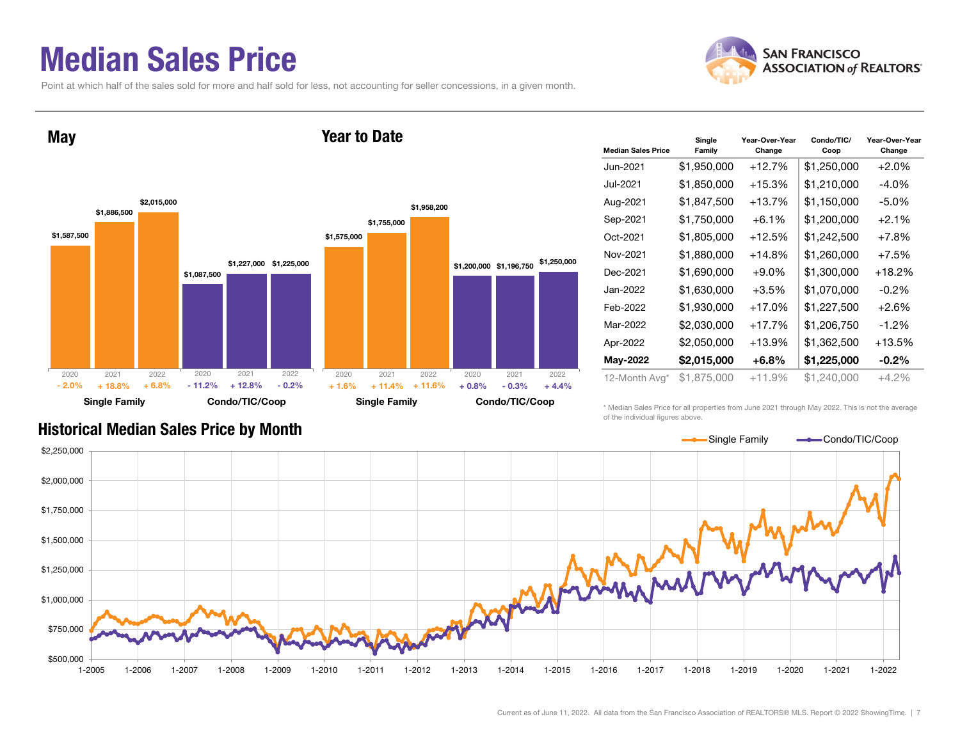### Median Sales Price

Point at which half of the sales sold for more and half sold for less, not accounting for seller concessions, in a given month.





| <b>Median Sales Price</b> | Single<br>Family | Year-Over-Year<br>Change | Condo/TIC/<br>Coop | Year-Over-Year<br>Change |
|---------------------------|------------------|--------------------------|--------------------|--------------------------|
| Jun-2021                  | \$1,950,000      | $+12.7%$                 | \$1,250,000        | $+2.0%$                  |
| Jul-2021                  | \$1,850,000      | $+15.3%$                 | \$1,210,000        | $-4.0\%$                 |
| Aug-2021                  | \$1,847,500      | $+13.7%$                 | \$1,150,000        | $-5.0\%$                 |
| Sep-2021                  | \$1,750,000      | $+6.1%$                  | \$1,200,000        | $+2.1%$                  |
| Oct-2021                  | \$1,805,000      | +12.5%                   | \$1,242,500        | $+7.8\%$                 |
| Nov-2021                  | \$1,880,000      | $+14.8%$                 | \$1,260,000        | $+7.5%$                  |
| Dec-2021                  | \$1,690,000      | $+9.0\%$                 | \$1,300,000        | $+18.2%$                 |
| Jan-2022                  | \$1,630,000      | $+3.5%$                  | \$1,070,000        | $-0.2\%$                 |
| Feb-2022                  | \$1,930,000      | $+17.0%$                 | \$1,227,500        | $+2.6%$                  |
| Mar-2022                  | \$2,030,000      | $+17.7%$                 | \$1,206,750        | $-1.2\%$                 |
| Apr-2022                  | \$2,050,000      | $+13.9%$                 | \$1,362,500        | $+13.5%$                 |
| May-2022                  | \$2,015,000      | $+6.8%$                  | \$1,225,000        | $-0.2\%$                 |
| 12-Month Avg*             | \$1,875,000      | $+11.9%$                 | \$1,240,000        | $+4.2\%$                 |

\* Median Sales Price for all properties from June 2021 through May 2022. This is not the average of the individual figures above.



#### Historical Median Sales Price by Month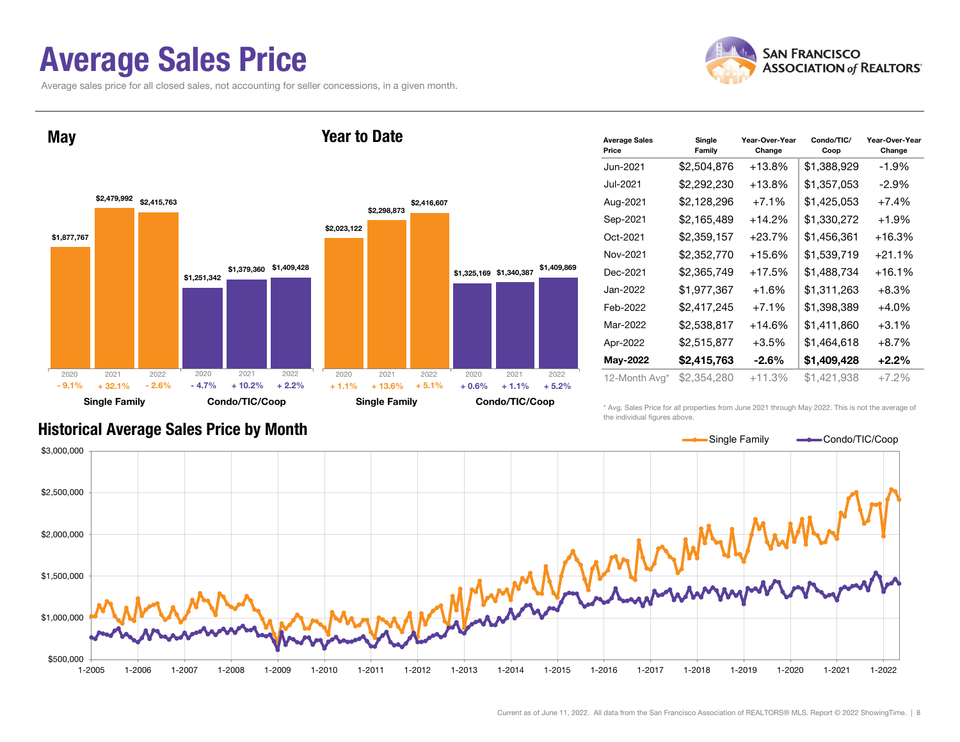### Average Sales Price

Average sales price for all closed sales, not accounting for seller concessions, in a given month.





| <b>Average Sales</b><br>Price | Single<br>Family | Year-Over-Year<br>Change | Condo/TIC/<br>Coop | Year-Over-Year<br>Change |
|-------------------------------|------------------|--------------------------|--------------------|--------------------------|
| Jun-2021                      | \$2,504,876      | $+13.8%$                 | \$1,388,929        | $-1.9%$                  |
| Jul-2021                      | \$2,292,230      | $+13.8\%$                | \$1,357,053        | $-2.9\%$                 |
| Aug-2021                      | \$2,128,296      | $+7.1\%$                 | \$1,425,053        | $+7.4%$                  |
| Sep-2021                      | \$2,165,489      | $+14.2%$                 | \$1,330,272        | $+1.9%$                  |
| Oct-2021                      | \$2,359,157      | $+23.7%$                 | \$1,456,361        | $+16.3%$                 |
| Nov-2021                      | \$2,352,770      | $+15.6%$                 | \$1,539,719        | $+21.1%$                 |
| Dec-2021                      | \$2,365,749      | $+17.5%$                 | \$1,488,734        | $+16.1%$                 |
| Jan-2022                      | \$1,977,367      | $+1.6%$                  | \$1,311,263        | $+8.3%$                  |
| Feb-2022                      | \$2,417,245      | $+7.1%$                  | \$1,398,389        | $+4.0\%$                 |
| Mar-2022                      | \$2,538,817      | $+14.6%$                 | \$1,411,860        | $+3.1\%$                 |
| Apr-2022                      | \$2,515,877      | $+3.5%$                  | \$1,464,618        | $+8.7%$                  |
| May-2022                      | \$2,415,763      | $-2.6\%$                 | \$1,409,428        | $+2.2\%$                 |
| 12-Month Avg*                 | \$2,354,280      | $+11.3%$                 | \$1,421,938        | $+7.2\%$                 |

#### Historical Average Sales Price by Month

\* Avg. Sales Price for all properties from June 2021 through May 2022. This is not the average of the individual figures above.

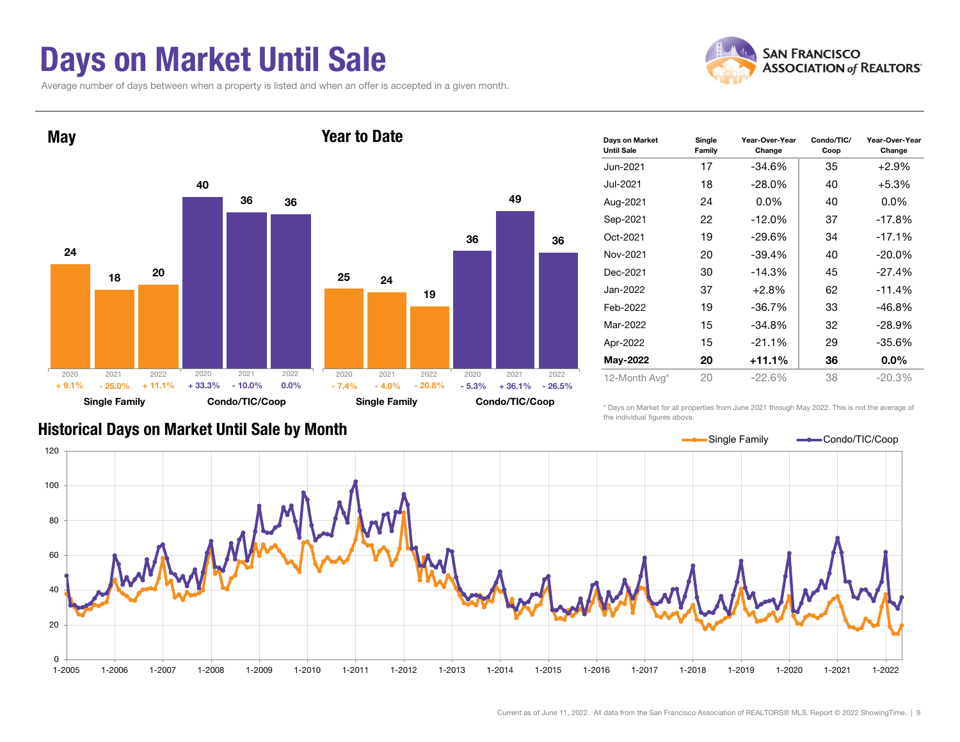### Days on Market Until Sale

Average number of days between when a property is listed and when an offer is accepted in a given month.





| Days on Market<br><b>Until Sale</b> | Single<br>Family | Year-Over-Year<br>Change | Condo/TIC/<br>Coop | Year-Over-Year<br>Change |
|-------------------------------------|------------------|--------------------------|--------------------|--------------------------|
| Jun-2021                            | 17               | -34.6%                   | 35                 | $+2.9\%$                 |
| Jul-2021                            | 18               | $-28.0\%$                | 40                 | $+5.3%$                  |
| Aug-2021                            | 24               | $0.0\%$                  | 40                 | $0.0\%$                  |
| Sep-2021                            | 22               | $-12.0%$                 | 37                 | $-17.8%$                 |
| Oct-2021                            | 19               | -29.6%                   | 34                 | $-17.1%$                 |
| Nov-2021                            | 20               | $-39.4%$                 | 40                 | $-20.0\%$                |
| Dec-2021                            | 30               | $-14.3%$                 | 45                 | $-27.4%$                 |
| Jan-2022                            | 37               | $+2.8%$                  | 62                 | $-11.4%$                 |
| Feb-2022                            | 19               | -36.7%                   | 33                 | $-46.8%$                 |
| Mar-2022                            | 15               | -34.8%                   | 32                 | -28.9%                   |
| Apr-2022                            | 15               | $-21.1%$                 | 29                 | $-35.6%$                 |
| <b>May-2022</b>                     | 20               | $+11.1%$                 | 36                 | $0.0\%$                  |
| 12-Month Avg*                       | 20               | $-22.6%$                 | 38                 | $-20.3%$                 |

Historical Days on Market Until Sale by Month

\* Days on Market for all properties from June 2021 through May 2022. This is not the average of the individual figures above.

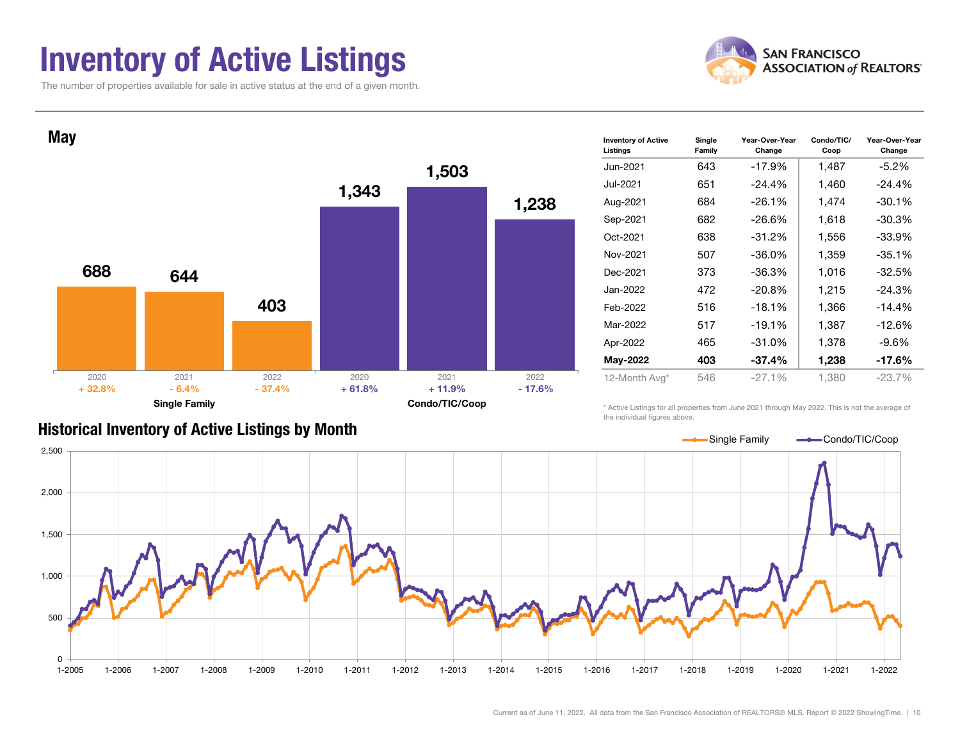### Inventory of Active Listings

The number of properties available for sale in active status at the end of a given month.





#### Historical Inventory of Active Listings by Month

\* Active Listings for all properties from June 2021 through May 2022. This is not the average of the individual figures above.

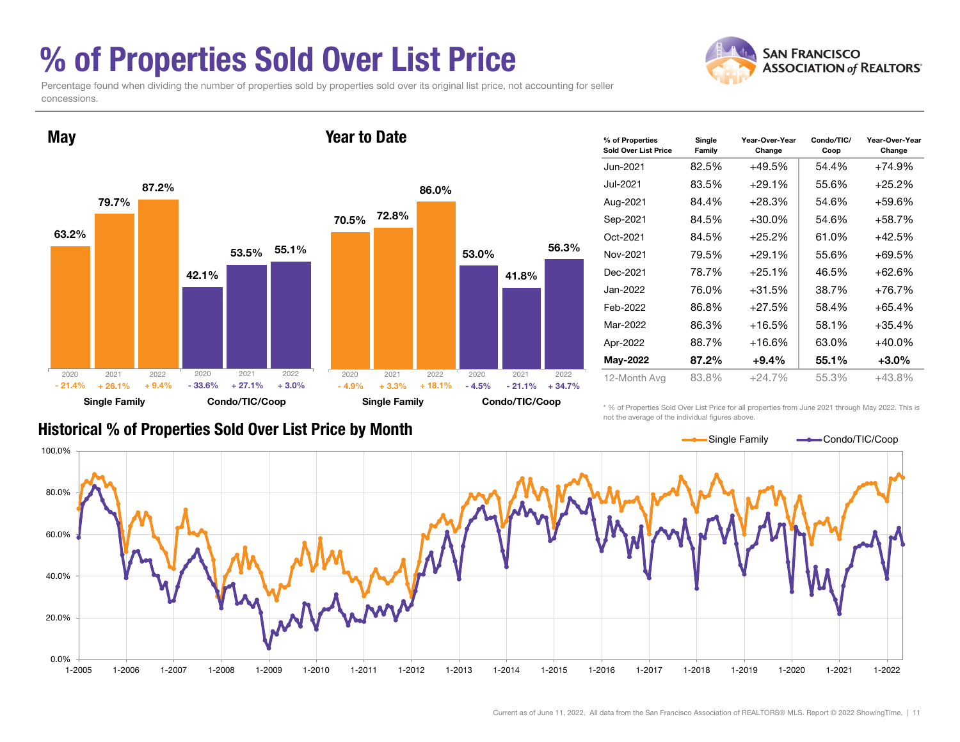### % of Properties Sold Over List Price

**SAN FRANCISCO ASSOCIATION of REALTORS'** 

Percentage found when dividing the number of properties sold by properties sold over its original list price, not accounting for seller concessions.



| % of Properties<br>Sold Over List Price | Single<br>Family | Year-Over-Year<br>Change | Condo/TIC/<br>Coop | Year-Over-Year<br>Change |
|-----------------------------------------|------------------|--------------------------|--------------------|--------------------------|
| Jun-2021                                | 82.5%            | $+49.5%$                 | 54.4%              | $+74.9%$                 |
| Jul-2021                                | 83.5%            | $+29.1%$                 | 55.6%              | $+25.2%$                 |
| Aug-2021                                | 84.4%            | $+28.3%$                 | 54.6%              | $+59.6%$                 |
| Sep-2021                                | 84.5%            | $+30.0%$                 | 54.6%              | $+58.7%$                 |
| Oct-2021                                | 84.5%            | $+25.2%$                 | 61.0%              | $+42.5%$                 |
| Nov-2021                                | 79.5%            | $+29.1%$                 | 55.6%              | $+69.5%$                 |
| Dec-2021                                | 78.7%            | $+25.1%$                 | 46.5%              | $+62.6%$                 |
| Jan-2022.                               | 76.0%            | $+31.5%$                 | 38.7%              | $+76.7%$                 |
| Feb-2022                                | 86.8%            | $+27.5%$                 | 58.4%              | $+65.4%$                 |
| Mar-2022                                | 86.3%            | $+16.5%$                 | 58.1%              | $+35.4%$                 |
| Apr-2022                                | 88.7%            | $+16.6%$                 | 63.0%              | $+40.0\%$                |
| May-2022                                | 87.2%            | $+9.4%$                  | 55.1%              | $+3.0\%$                 |
| 12-Month Avg                            | 83.8%            | $+24.7%$                 | 55.3%              | $+43.8%$                 |

\* % of Properties Sold Over List Price for all properties from June 2021 through May 2022. This is not the average of the individual figures above.

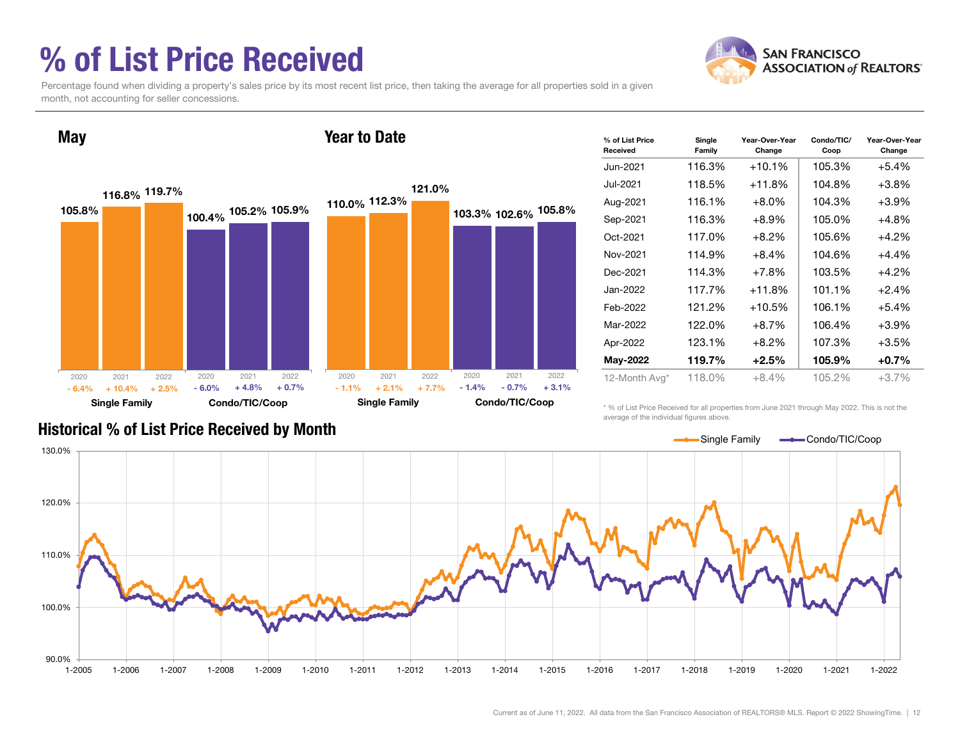## % of List Price Received



Percentage found when dividing a property's sales price by its most recent list price, then taking the average for all properties sold in a given month, not accounting for seller concessions.



| % of List Price<br>Received | Single<br>Family | Year-Over-Year<br>Change | Condo/TIC/<br>Coop | Year-Over-Year<br>Change |
|-----------------------------|------------------|--------------------------|--------------------|--------------------------|
| Jun-2021                    | 116.3%           | $+10.1%$                 | 105.3%             | $+5.4%$                  |
| Jul-2021                    | 118.5%           | $+11.8%$                 | 104.8%             | $+3.8%$                  |
| Aug-2021                    | 116.1%           | +8.0%                    | 104.3%             | $+3.9%$                  |
| Sep-2021                    | 116.3%           | +8.9%                    | 105.0%             | +4.8%                    |
| Oct-2021                    | 117.0%           | +8.2%                    | 105.6%             | $+4.2%$                  |
| Nov-2021                    | 114.9%           | +8.4%                    | 104.6%             | +4.4%                    |
| Dec-2021                    | 114.3%           | +7.8%                    | 103.5%             | $+4.2%$                  |
| Jan-2022                    | 117.7%           | $+11.8%$                 | 101.1%             | $+2.4%$                  |
| Feb-2022                    | 121.2%           | $+10.5%$                 | 106.1%             | $+5.4%$                  |
| Mar-2022                    | 122.0%           | +8.7%                    | 106.4%             | $+3.9%$                  |
| Apr-2022                    | 123.1%           | +8.2%                    | 107.3%             | $+3.5%$                  |
| <b>May-2022</b>             | 119.7%           | +2.5%                    | 105.9%             | $+0.7%$                  |
| 12-Month Avg*               | 118.0%           | $+8.4\%$                 | 105.2%             | $+3.7%$                  |

\* % of List Price Received for all properties from June 2021 through May 2022. This is not the average of the individual figures above.



#### Historical % of List Price Received by Month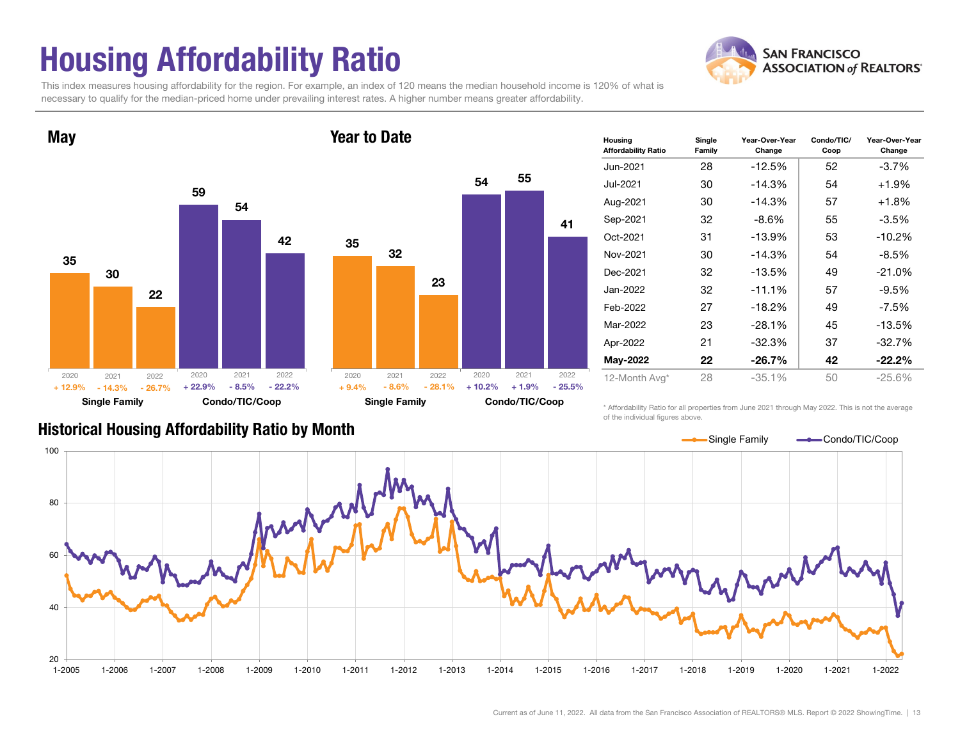# Housing Affordability Ratio

**SAN FRANCISCO ASSOCIATION of REALTORS'** 

This index measures housing affordability for the region. For example, an index of 120 means the median household income is 120% of what is necessary to qualify for the median-priced home under prevailing interest rates. A higher number means greater affordability.



| Housing<br><b>Affordability Ratio</b> | Single<br>Family | Year-Over-Year<br>Change | Condo/TIC/<br>Coop | Year-Over-Year<br>Change |
|---------------------------------------|------------------|--------------------------|--------------------|--------------------------|
| Jun-2021                              | 28               | $-12.5%$                 | 52                 | $-3.7\%$                 |
| Jul-2021                              | 30               | $-14.3%$                 | 54                 | $+1.9%$                  |
| Aug-2021                              | 30               | $-14.3%$                 | 57                 | $+1.8%$                  |
| Sep-2021                              | 32               | -8.6%                    | 55                 | $-3.5\%$                 |
| Oct-2021                              | 31               | $-13.9%$                 | 53                 | $-10.2%$                 |
| Nov-2021                              | 30               | $-14.3%$                 | 54                 | $-8.5\%$                 |
| Dec-2021                              | 32               | $-13.5%$                 | 49                 | $-21.0%$                 |
| Jan-2022                              | 32               | $-11.1%$                 | 57                 | $-9.5\%$                 |
| Feb-2022                              | 27               | $-18.2%$                 | 49                 | -7.5%                    |
| Mar-2022                              | 23               | $-28.1%$                 | 45                 | $-13.5%$                 |
| Apr-2022                              | 21               | $-32.3%$                 | 37                 | $-32.7%$                 |
| <b>May-2022</b>                       | 22               | $-26.7\%$                | 42                 | $-22.2%$                 |
| 12-Month Avg*                         | 28               | $-35.1%$                 | 50                 | $-25.6%$                 |

Historical Housing Affordability Ratio by Month

\* Affordability Ratio for all properties from June 2021 through May 2022. This is not the average of the individual figures above.



41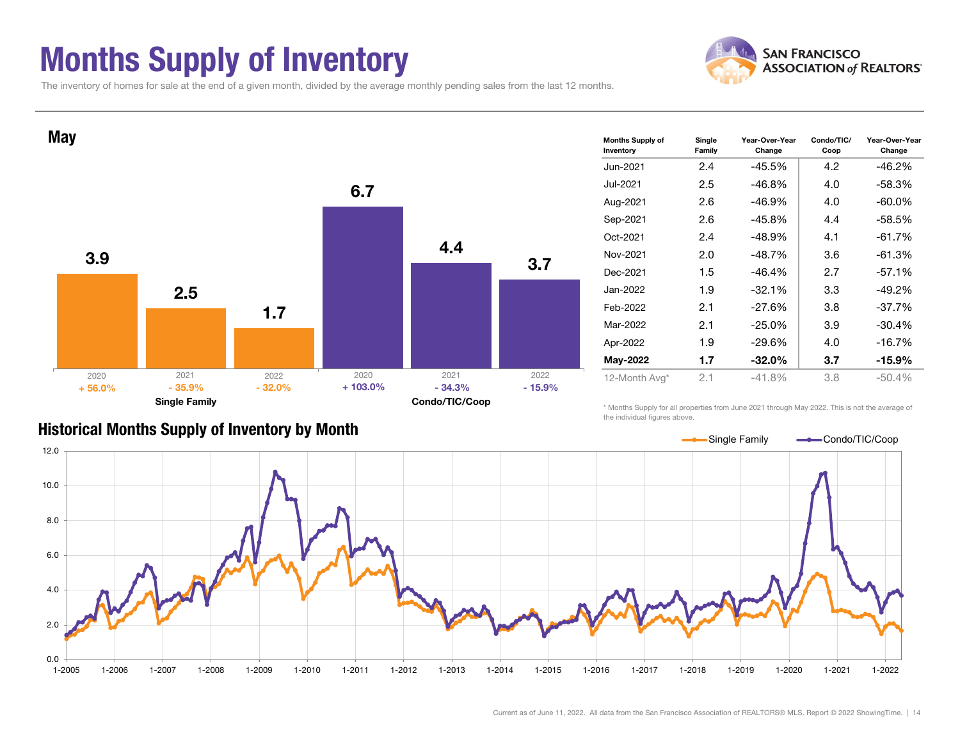### Months Supply of Inventory



The inventory of homes for sale at the end of a given month, divided by the average monthly pending sales from the last 12 months.



| <b>Months Supply of</b><br>Inventory | Single<br>Family | Year-Over-Year<br>Change | Condo/TIC/<br>Coop | Year-Over-Year<br>Change |
|--------------------------------------|------------------|--------------------------|--------------------|--------------------------|
| Jun-2021                             | 2.4              | $-45.5%$                 | 4.2                | $-46.2%$                 |
| Jul-2021                             | $2.5\,$          | $-46.8%$                 | 4.0                | $-58.3%$                 |
| Aug-2021                             | 2.6              | $-46.9%$                 | 4.0                | $-60.0\%$                |
| Sep-2021                             | 2.6              | $-45.8%$                 | 4.4                | $-58.5%$                 |
| Oct-2021                             | 2.4              | $-48.9%$                 | 4.1                | $-61.7%$                 |
| Nov-2021                             | 2.0              | $-48.7%$                 | 3.6                | $-61.3%$                 |
| Dec-2021                             | 1.5              | $-46.4%$                 | 2.7                | $-57.1%$                 |
| Jan-2022                             | 1.9              | $-32.1%$                 | 3.3                | $-49.2%$                 |
| Feb-2022                             | 2.1              | $-27.6%$                 | 3.8                | $-37.7%$                 |
| Mar-2022                             | 2.1              | $-25.0\%$                | 3.9                | $-30.4%$                 |
| Apr-2022                             | 1.9              | $-29.6%$                 | 4.0                | $-16.7%$                 |
| May-2022                             | 1.7              | $-32.0\%$                | 3.7                | $-15.9\%$                |
| 12-Month Avg*                        | 2.1              | $-41.8%$                 | 3.8                | $-50.4%$                 |

\* Months Supply for all properties from June 2021 through May 2022. This is not the average of the individual figures above.



Historical Months Supply of Inventory by Month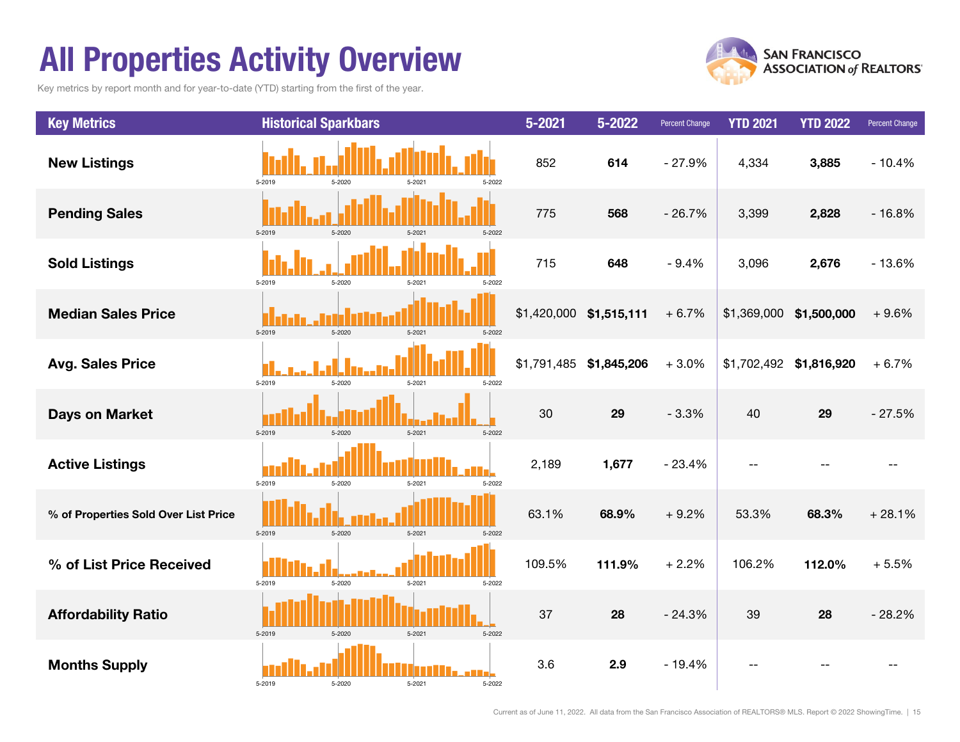## All Properties Activity Overview

Key metrics by report month and for year-to-date (YTD) starting from the first of the year.